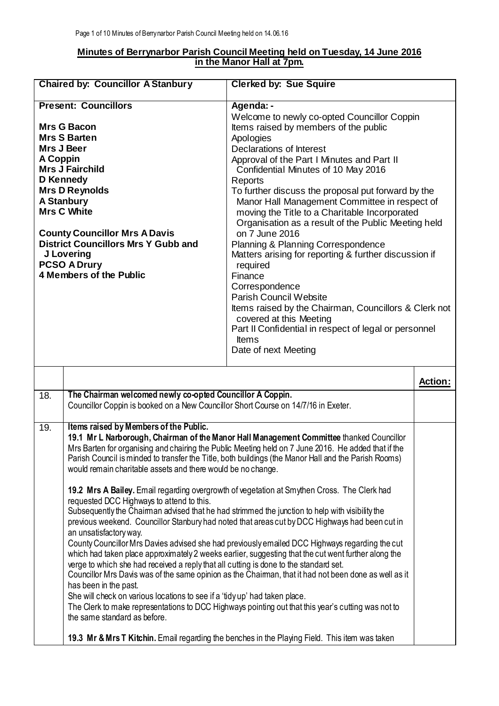## **Minutes of Berrynarbor Parish Council Meeting held on Tuesday, 14 June 2016 in the Manor Hall at 7pm.**

| <b>Chaired by: Councillor A Stanbury</b> |                                                                                                                                                                                                                                                                                                                                                                                                                                                                                                                                                                                                                                                                                                                                                                                                                                                                                                                                                                                                                                                                                                                                                                                                                                                                                                                                                                                                                                                                                                                                                        | <b>Clerked by: Sue Squire</b>                                                                                                                                                                                                                                                                                                                                                                                                                                                                                                                                                                                                                                                                                                                                                                                                             |                |
|------------------------------------------|--------------------------------------------------------------------------------------------------------------------------------------------------------------------------------------------------------------------------------------------------------------------------------------------------------------------------------------------------------------------------------------------------------------------------------------------------------------------------------------------------------------------------------------------------------------------------------------------------------------------------------------------------------------------------------------------------------------------------------------------------------------------------------------------------------------------------------------------------------------------------------------------------------------------------------------------------------------------------------------------------------------------------------------------------------------------------------------------------------------------------------------------------------------------------------------------------------------------------------------------------------------------------------------------------------------------------------------------------------------------------------------------------------------------------------------------------------------------------------------------------------------------------------------------------------|-------------------------------------------------------------------------------------------------------------------------------------------------------------------------------------------------------------------------------------------------------------------------------------------------------------------------------------------------------------------------------------------------------------------------------------------------------------------------------------------------------------------------------------------------------------------------------------------------------------------------------------------------------------------------------------------------------------------------------------------------------------------------------------------------------------------------------------------|----------------|
| A Coppin                                 | <b>Present: Councillors</b><br><b>Mrs G Bacon</b><br><b>Mrs S Barten</b><br>Mrs J Beer<br><b>Mrs J Fairchild</b><br>D Kennedy<br><b>Mrs D Reynolds</b><br><b>A Stanbury</b><br><b>Mrs C White</b><br><b>County Councillor Mrs A Davis</b><br><b>District Councillors Mrs Y Gubb and</b><br>J Lovering<br><b>PCSO A Drury</b><br><b>4 Members of the Public</b>                                                                                                                                                                                                                                                                                                                                                                                                                                                                                                                                                                                                                                                                                                                                                                                                                                                                                                                                                                                                                                                                                                                                                                                         | Agenda: -<br>Welcome to newly co-opted Councillor Coppin<br>Items raised by members of the public<br>Apologies<br>Declarations of Interest<br>Approval of the Part I Minutes and Part II<br>Confidential Minutes of 10 May 2016<br>Reports<br>To further discuss the proposal put forward by the<br>Manor Hall Management Committee in respect of<br>moving the Title to a Charitable Incorporated<br>Organisation as a result of the Public Meeting held<br>on 7 June 2016<br>Planning & Planning Correspondence<br>Matters arising for reporting & further discussion if<br>required<br>Finance<br>Correspondence<br><b>Parish Council Website</b><br>Items raised by the Chairman, Councillors & Clerk not<br>covered at this Meeting<br>Part II Confidential in respect of legal or personnel<br><b>Items</b><br>Date of next Meeting |                |
|                                          |                                                                                                                                                                                                                                                                                                                                                                                                                                                                                                                                                                                                                                                                                                                                                                                                                                                                                                                                                                                                                                                                                                                                                                                                                                                                                                                                                                                                                                                                                                                                                        |                                                                                                                                                                                                                                                                                                                                                                                                                                                                                                                                                                                                                                                                                                                                                                                                                                           | <b>Action:</b> |
| $\overline{18}$ .                        | The Chairman welcomed newly co-opted Councillor A Coppin.<br>Councillor Coppin is booked on a New Councillor Short Course on 14/7/16 in Exeter.                                                                                                                                                                                                                                                                                                                                                                                                                                                                                                                                                                                                                                                                                                                                                                                                                                                                                                                                                                                                                                                                                                                                                                                                                                                                                                                                                                                                        |                                                                                                                                                                                                                                                                                                                                                                                                                                                                                                                                                                                                                                                                                                                                                                                                                                           |                |
| 19.                                      | Items raised by Members of the Public.<br>19.1 Mr L Narborough, Chairman of the Manor Hall Management Committee thanked Councillor<br>Mrs Barten for organising and chairing the Public Meeting held on 7 June 2016. He added that if the<br>Parish Council is minded to transfer the Title, both buildings (the Manor Hall and the Parish Rooms)<br>would remain charitable assets and there would be no change.<br>19.2 Mrs A Bailey. Email regarding overgrowth of vegetation at Smythen Cross. The Clerk had<br>requested DCC Highways to attend to this.<br>Subsequently the Chairman advised that he had strimmed the junction to help with visibility the<br>previous weekend. Councillor Stanbury had noted that areas cut by DCC Highways had been cut in<br>an unsatisfactory way.<br>County Councillor Mrs Davies advised she had previously emailed DCC Highways regarding the cut<br>which had taken place approximately 2 weeks earlier, suggesting that the cut went further along the<br>verge to which she had received a reply that all cutting is done to the standard set.<br>Councillor Mrs Davis was of the same opinion as the Chairman, that it had not been done as well as it<br>has been in the past.<br>She will check on various locations to see if a 'tidy up' had taken place.<br>The Clerk to make representations to DCC Highways pointing out that this year's cutting was not to<br>the same standard as before.<br>19.3 Mr & Mrs T Kitchin. Email regarding the benches in the Playing Field. This item was taken |                                                                                                                                                                                                                                                                                                                                                                                                                                                                                                                                                                                                                                                                                                                                                                                                                                           |                |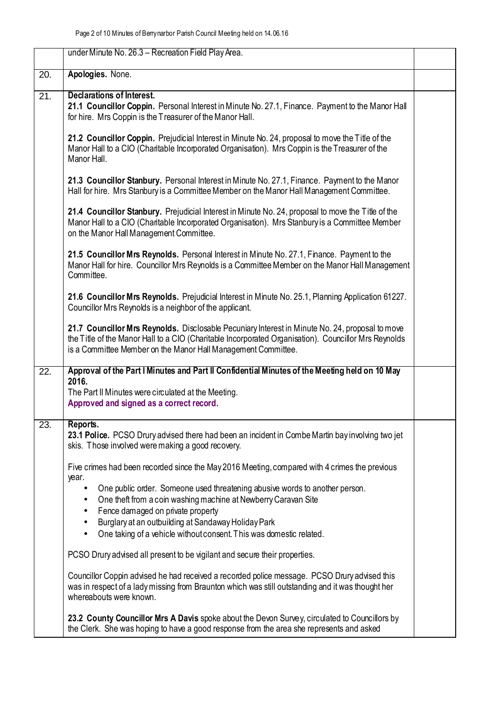|                   | under Minute No. 26.3 - Recreation Field Play Area.                                                                                                                                                                                                                      |  |
|-------------------|--------------------------------------------------------------------------------------------------------------------------------------------------------------------------------------------------------------------------------------------------------------------------|--|
| 20.               | Apologies. None.                                                                                                                                                                                                                                                         |  |
| $\overline{21}$ . | Declarations of Interest.<br>21.1 Councillor Coppin. Personal Interest in Minute No. 27.1, Finance. Payment to the Manor Hall<br>for hire. Mrs Coppin is the Treasurer of the Manor Hall.                                                                                |  |
|                   | 21.2 Councillor Coppin. Prejudicial Interest in Minute No. 24, proposal to move the Title of the<br>Manor Hall to a CIO (Charitable Incorporated Organisation). Mrs Coppin is the Treasurer of the<br>Manor Hall.                                                        |  |
|                   | 21.3 Councillor Stanbury. Personal Interest in Minute No. 27.1, Finance. Payment to the Manor<br>Hall for hire. Mrs Stanbury is a Committee Member on the Manor Hall Management Committee.                                                                               |  |
|                   | 21.4 Councillor Stanbury. Prejudicial Interest in Minute No. 24, proposal to move the Title of the<br>Manor Hall to a CIO (Charitable Incorporated Organisation). Mrs Stanbury is a Committee Member<br>on the Manor Hall Management Committee.                          |  |
|                   | 21.5 Councillor Mrs Reynolds. Personal Interest in Minute No. 27.1, Finance. Payment to the<br>Manor Hall for hire. Councillor Mrs Reynolds is a Committee Member on the Manor Hall Management<br>Committee.                                                             |  |
|                   | 21.6 Councillor Mrs Reynolds. Prejudicial Interest in Minute No. 25.1, Planning Application 61227.<br>Councillor Mrs Reynolds is a neighbor of the applicant.                                                                                                            |  |
|                   | 21.7 Councillor Mrs Reynolds. Disclosable Pecuniary Interest in Minute No. 24, proposal to move<br>the Title of the Manor Hall to a CIO (Charitable Incorporated Organisation). Councillor Mrs Reynolds<br>is a Committee Member on the Manor Hall Management Committee. |  |
| 22.               | Approval of the Part I Minutes and Part II Confidential Minutes of the Meeting held on 10 May<br>2016.                                                                                                                                                                   |  |
|                   | The Part II Minutes were circulated at the Meeting.<br>Approved and signed as a correct record.                                                                                                                                                                          |  |
| 23.               | Reports.<br>23.1 Police. PCSO Drury advised there had been an incident in Combe Martin bay involving two jet<br>skis. Those involved were making a good recovery.                                                                                                        |  |
|                   | Five crimes had been recorded since the May 2016 Meeting, compared with 4 crimes the previous                                                                                                                                                                            |  |
|                   | year.<br>One public order. Someone used threatening abusive words to another person.<br>One theft from a coin washing machine at Newberry Caravan Site<br>$\bullet$<br>Fence damaged on private property<br>Burglary at an outbuilding at Sandaway Holiday Park          |  |
|                   | One taking of a vehicle without consent. This was domestic related.<br>$\bullet$                                                                                                                                                                                         |  |
|                   | PCSO Drury advised all present to be vigilant and secure their properties.                                                                                                                                                                                               |  |
|                   | Councillor Coppin advised he had received a recorded police message. PCSO Drury advised this<br>was in respect of a lady missing from Braunton which was still outstanding and it was thought her<br>whereabouts were known.                                             |  |
|                   | 23.2 County Councillor Mrs A Davis spoke about the Devon Survey, circulated to Councillors by<br>the Clerk. She was hoping to have a good response from the area she represents and asked                                                                                |  |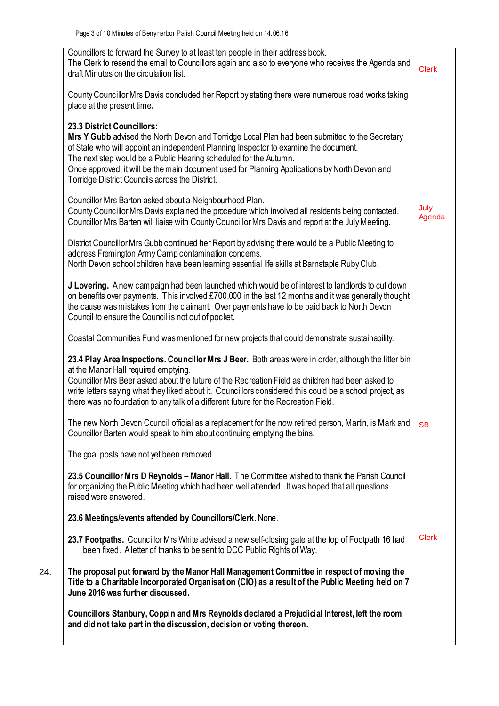|     | Councillors to forward the Survey to at least ten people in their address book.<br>The Clerk to resend the email to Councillors again and also to everyone who receives the Agenda and<br>draft Minutes on the circulation list.                                                                                                                                                                                                                    | <b>Clerk</b>   |
|-----|-----------------------------------------------------------------------------------------------------------------------------------------------------------------------------------------------------------------------------------------------------------------------------------------------------------------------------------------------------------------------------------------------------------------------------------------------------|----------------|
|     | County Councillor Mrs Davis concluded her Report by stating there were numerous road works taking<br>place at the present time.                                                                                                                                                                                                                                                                                                                     |                |
|     | 23.3 District Councillors:<br>Mrs Y Gubb advised the North Devon and Torridge Local Plan had been submitted to the Secretary<br>of State who will appoint an independent Planning Inspector to examine the document.<br>The next step would be a Public Hearing scheduled for the Autumn.<br>Once approved, it will be the main document used for Planning Applications by North Devon and<br>Torridge District Councils across the District.       |                |
|     | Councillor Mrs Barton asked about a Neighbourhood Plan.<br>County Councillor Mrs Davis explained the procedure which involved all residents being contacted.<br>Councillor Mrs Barten will liaise with County Councillor Mrs Davis and report at the July Meeting.                                                                                                                                                                                  | July<br>Agenda |
|     | District Councillor Mrs Gubb continued her Report by advising there would be a Public Meeting to<br>address Fremington Army Camp contamination concems.<br>North Devon school children have been learning essential life skills at Barnstaple Ruby Club.                                                                                                                                                                                            |                |
|     | J Lovering. A new campaign had been launched which would be of interest to landlords to cut down<br>on benefits over payments. This involved £700,000 in the last 12 months and it was generally thought<br>the cause was mistakes from the claimant. Over payments have to be paid back to North Devon<br>Council to ensure the Council is not out of pocket.                                                                                      |                |
|     | Coastal Communities Fund was mentioned for new projects that could demonstrate sustainability.                                                                                                                                                                                                                                                                                                                                                      |                |
|     | 23.4 Play Area Inspections. Councillor Mrs J Beer. Both areas were in order, although the litter bin<br>at the Manor Hall required emptying.<br>Councillor Mrs Beer asked about the future of the Recreation Field as children had been asked to<br>write letters saying what they liked about it. Councillors considered this could be a school project, as<br>there was no foundation to any talk of a different future for the Recreation Field. |                |
|     | The new North Devon Council official as a replacement for the now retired person, Martin, is Mark and<br>Councillor Barten would speak to him about continuing emptying the bins.                                                                                                                                                                                                                                                                   | <b>SB</b>      |
|     | The goal posts have not yet been removed.                                                                                                                                                                                                                                                                                                                                                                                                           |                |
|     | 23.5 Councillor Mrs D Reynolds - Manor Hall. The Committee wished to thank the Parish Council<br>for organizing the Public Meeting which had been well attended. It was hoped that all questions<br>raised were answered.                                                                                                                                                                                                                           |                |
|     | 23.6 Meetings/events attended by Councillors/Clerk. None.                                                                                                                                                                                                                                                                                                                                                                                           |                |
|     | 23.7 Footpaths. Councillor Mrs White advised a new self-closing gate at the top of Footpath 16 had<br>been fixed. A letter of thanks to be sent to DCC Public Rights of Way.                                                                                                                                                                                                                                                                        | <b>Clerk</b>   |
| 24. | The proposal put forward by the Manor Hall Management Committee in respect of moving the<br>Title to a Charitable Incorporated Organisation (CIO) as a result of the Public Meeting held on 7<br>June 2016 was further discussed.                                                                                                                                                                                                                   |                |
|     | Councillors Stanbury, Coppin and Mrs Reynolds declared a Prejudicial Interest, left the room<br>and did not take part in the discussion, decision or voting thereon.                                                                                                                                                                                                                                                                                |                |
|     |                                                                                                                                                                                                                                                                                                                                                                                                                                                     |                |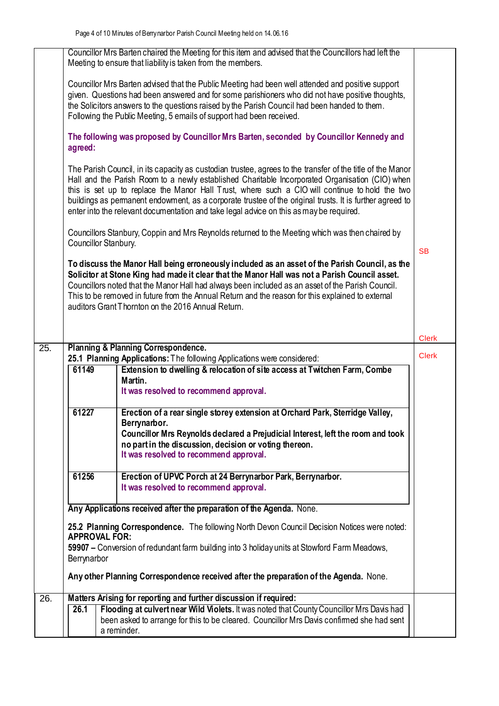|     | Councillor Mrs Barten chaired the Meeting for this item and advised that the Councillors had left the<br>Meeting to ensure that liability is taken from the members.                                                                                                                                                                                                                                                                                                                                                   |              |
|-----|------------------------------------------------------------------------------------------------------------------------------------------------------------------------------------------------------------------------------------------------------------------------------------------------------------------------------------------------------------------------------------------------------------------------------------------------------------------------------------------------------------------------|--------------|
|     | Councillor Mrs Barten advised that the Public Meeting had been well attended and positive support<br>given. Questions had been answered and for some parishioners who did not have positive thoughts,<br>the Solicitors answers to the questions raised by the Parish Council had been handed to them.<br>Following the Public Meeting, 5 emails of support had been received.                                                                                                                                         |              |
|     | The following was proposed by Councillor Mrs Barten, seconded by Councillor Kennedy and<br>agreed:                                                                                                                                                                                                                                                                                                                                                                                                                     |              |
|     | The Parish Council, in its capacity as custodian trustee, agrees to the transfer of the title of the Manor<br>Hall and the Parish Room to a newly established Charitable Incorporated Organisation (CIO) when<br>this is set up to replace the Manor Hall Trust, where such a CIO will continue to hold the two<br>buildings as permanent endowment, as a corporate trustee of the original trusts. It is further agreed to<br>enter into the relevant documentation and take legal advice on this as may be required. |              |
|     | Councillors Stanbury, Coppin and Mrs Reynolds returned to the Meeting which was then chaired by<br>Councillor Stanbury.                                                                                                                                                                                                                                                                                                                                                                                                | <b>SB</b>    |
|     | To discuss the Manor Hall being erroneously included as an asset of the Parish Council, as the<br>Solicitor at Stone King had made it clear that the Manor Hall was not a Parish Council asset.<br>Councillors noted that the Manor Hall had always been included as an asset of the Parish Council.<br>This to be removed in future from the Annual Return and the reason for this explained to external<br>auditors Grant Thornton on the 2016 Annual Return.                                                        |              |
|     |                                                                                                                                                                                                                                                                                                                                                                                                                                                                                                                        |              |
| 25. | Planning & Planning Correspondence.                                                                                                                                                                                                                                                                                                                                                                                                                                                                                    | <b>Clerk</b> |
|     |                                                                                                                                                                                                                                                                                                                                                                                                                                                                                                                        |              |
|     |                                                                                                                                                                                                                                                                                                                                                                                                                                                                                                                        | <b>Clerk</b> |
|     | 25.1 Planning Applications: The following Applications were considered:<br>Extension to dwelling & relocation of site access at Twitchen Farm, Combe<br>61149                                                                                                                                                                                                                                                                                                                                                          |              |
|     | Martin.                                                                                                                                                                                                                                                                                                                                                                                                                                                                                                                |              |
|     | It was resolved to recommend approval.                                                                                                                                                                                                                                                                                                                                                                                                                                                                                 |              |
|     |                                                                                                                                                                                                                                                                                                                                                                                                                                                                                                                        |              |
|     | 61227<br>Erection of a rear single storey extension at Orchard Park, Sterridge Valley,                                                                                                                                                                                                                                                                                                                                                                                                                                 |              |
|     | Berrynarbor.                                                                                                                                                                                                                                                                                                                                                                                                                                                                                                           |              |
|     | Councillor Mrs Reynolds declared a Prejudicial Interest, left the room and took<br>no part in the discussion, decision or voting thereon.                                                                                                                                                                                                                                                                                                                                                                              |              |
|     | It was resolved to recommend approval.                                                                                                                                                                                                                                                                                                                                                                                                                                                                                 |              |
|     |                                                                                                                                                                                                                                                                                                                                                                                                                                                                                                                        |              |
|     | 61256<br>Erection of UPVC Porch at 24 Berrynarbor Park, Berrynarbor.<br>It was resolved to recommend approval.                                                                                                                                                                                                                                                                                                                                                                                                         |              |
|     |                                                                                                                                                                                                                                                                                                                                                                                                                                                                                                                        |              |
|     | Any Applications received after the preparation of the Agenda. None.                                                                                                                                                                                                                                                                                                                                                                                                                                                   |              |
|     | 25.2 Planning Correspondence. The following North Devon Council Decision Notices were noted:                                                                                                                                                                                                                                                                                                                                                                                                                           |              |
|     | <b>APPROVAL FOR:</b><br>59907 – Conversion of redundant farm building into 3 holiday units at Stowford Farm Meadows,                                                                                                                                                                                                                                                                                                                                                                                                   |              |
|     | Berrynarbor                                                                                                                                                                                                                                                                                                                                                                                                                                                                                                            |              |
|     | Any other Planning Correspondence received after the preparation of the Agenda. None.                                                                                                                                                                                                                                                                                                                                                                                                                                  |              |
| 26. | Matters Arising for reporting and further discussion if required:                                                                                                                                                                                                                                                                                                                                                                                                                                                      |              |
|     | Flooding at culvert near Wild Violets. It was noted that County Councillor Mrs Davis had<br>26.1                                                                                                                                                                                                                                                                                                                                                                                                                       |              |
|     | been asked to arrange for this to be cleared. Councillor Mrs Davis confirmed she had sent<br>a reminder.                                                                                                                                                                                                                                                                                                                                                                                                               |              |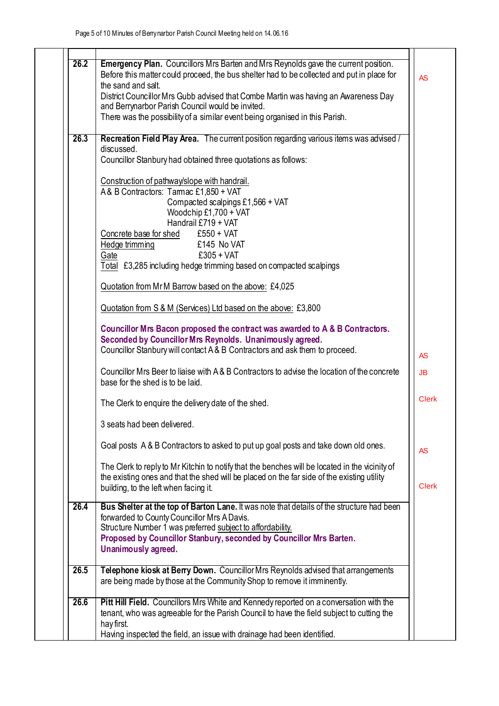| 26.2 | Emergency Plan. Councillors Mrs Barten and Mrs Reynolds gave the current position.<br>Before this matter could proceed, the bus shelter had to be collected and put in place for                                        |
|------|-------------------------------------------------------------------------------------------------------------------------------------------------------------------------------------------------------------------------|
|      | the sand and salt.<br>District Councillor Mrs Gubb advised that Combe Martin was having an Awareness Day                                                                                                                |
|      | and Berrynarbor Parish Council would be invited.<br>There was the possibility of a similar event being organised in this Parish.                                                                                        |
| 26.3 | Recreation Field Play Area. The current position regarding various items was advised /<br>discussed.                                                                                                                    |
|      | Councillor Stanbury had obtained three quotations as follows:                                                                                                                                                           |
|      | Construction of pathway/slope with handrail.<br>A& B Contractors: Tarac £1,850 + VAT                                                                                                                                    |
|      | Compacted scalpings £1,566 + VAT<br>Woodchip £1,700 + VAT<br>Handrail £719 + VAT                                                                                                                                        |
|      | Concrete base for shed<br>$£550 + VAT$                                                                                                                                                                                  |
|      | Hedge trimming<br>£145 No VAT<br>$£305 + VAT$<br>Gate                                                                                                                                                                   |
|      | Total £3,285 including hedge trimming based on compacted scalpings                                                                                                                                                      |
|      | Quotation from Mr M Barrow based on the above: £4,025                                                                                                                                                                   |
|      | Quotation from S & M (Services) Ltd based on the above: £3,800                                                                                                                                                          |
|      | Councillor Mrs Bacon proposed the contract was awarded to A & B Contractors.<br>Seconded by Councillor Mrs Reynolds. Unanimously agreed.<br>Councillor Stanbury will contact A & B Contractors and ask them to proceed. |
|      |                                                                                                                                                                                                                         |
|      | Councillor Mrs Beer to liaise with A&B Contractors to advise the location of the concrete<br>base for the shed is to be laid.                                                                                           |
|      | The Clerk to enquire the delivery date of the shed.                                                                                                                                                                     |
|      | 3 seats had been delivered                                                                                                                                                                                              |
|      | Goal posts A & B Contractors to asked to put up goal posts and take down old ones.                                                                                                                                      |
|      | The Clerk to reply to Mr Kitchin to notify that the benches will be located in the vicinity of<br>the existing ones and that the shed will be placed on the far side of the existing utility                            |
|      | building, to the left when facing it.                                                                                                                                                                                   |
| 26.4 | Bus Shelter at the top of Barton Lane. It was note that details of the structure had been<br>forwarded to County Councillor Mrs A Davis.<br>Structure Number 1 was preferred subject to affordability.                  |
|      | Proposed by Councillor Stanbury, seconded by Councillor Mrs Barten.<br>Unanimously agreed.                                                                                                                              |
| 26.5 | Telephone kiosk at Berry Down. Councillor Mrs Reynolds advised that arrangements<br>are being made by those at the Community Shop to remove it imminently.                                                              |
| 26.6 | Pitt Hill Field. Councillors Mrs White and Kennedy reported on a conversation with the<br>tenant, who was agreeable for the Parish Council to have the field subject to cutting the                                     |
|      | hay first.<br>Having inspected the field, an issue with drainage had been identified.                                                                                                                                   |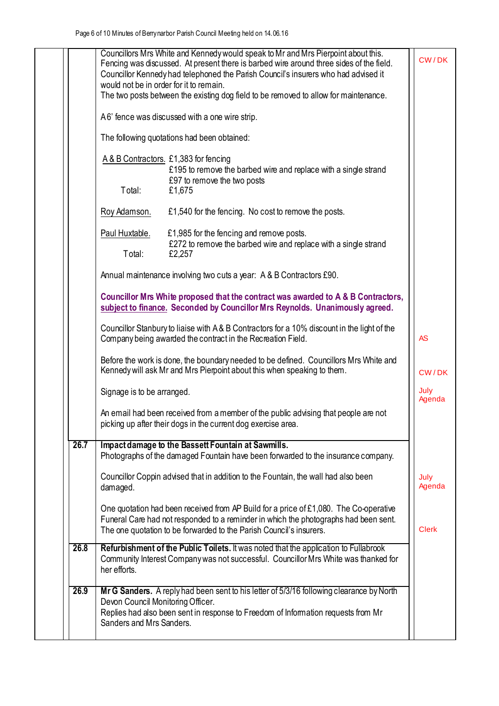| 26.7 | Impact damage to the Bassett Fountain at Sawmills.<br>Photographs of the damaged Fountain have been forwarded to the insurance company.<br>Councillor Coppin advised that in addition to the Fountain, the wall had also been<br>damaged.<br>One quotation had been received from AP Build for a price of £1,080. The Co-operative<br>Funeral Care had not responded to a reminder in which the photographs had been sent. | July<br>Agenda          |
|------|----------------------------------------------------------------------------------------------------------------------------------------------------------------------------------------------------------------------------------------------------------------------------------------------------------------------------------------------------------------------------------------------------------------------------|-------------------------|
|      | Kennedy will ask Mr and Mrs Pierpoint about this when speaking to them.<br>Signage is to be arranged.<br>An email had been received from a member of the public advising that people are not<br>picking up after their dogs in the current dog exercise area.                                                                                                                                                              | CW/DK<br>July<br>Agenda |
|      | subject to finance. Seconded by Councillor Mrs Reynolds. Unanimously agreed.<br>Councillor Stanbury to liaise with A&B Contractors for a 10% discount in the light of the<br>Company being awarded the contract in the Recreation Field.<br>Before the work is done, the boundary needed to be defined. Councillors Mrs White and                                                                                          | <b>AS</b>               |
|      | Annual maintenance involving two cuts a year: A & B Contractors £90.<br>Councillor Mrs White proposed that the contract was awarded to A & B Contractors,                                                                                                                                                                                                                                                                  |                         |
|      | £1,985 for the fencing and remove posts.<br>Paul Huxtable.<br>£272 to remove the barbed wire and replace with a single strand<br>Total:<br>£2,257                                                                                                                                                                                                                                                                          |                         |
|      | £97 to remove the two posts<br>Total:<br>£1,675<br>£1,540 for the fencing. No cost to remove the posts.<br>Roy Adamson.                                                                                                                                                                                                                                                                                                    |                         |
|      | The following quotations had been obtained:<br>A & B Contractors. £1,383 for fencing<br>£195 to remove the barbed wire and replace with a single strand                                                                                                                                                                                                                                                                    |                         |
|      | A6' fence was discussed with a one wire strip.                                                                                                                                                                                                                                                                                                                                                                             |                         |
|      | Councillors Mrs White and Kennedy would speak to Mr and Mrs Pierpoint about this.<br>Fencing was discussed. At present there is barbed wire around three sides of the field.<br>Councillor Kennedy had telephoned the Parish Council's insurers who had advised it<br>would not be in order for it to remain.<br>The two posts between the existing dog field to be removed to allow for maintenance.                      | CW/DK                   |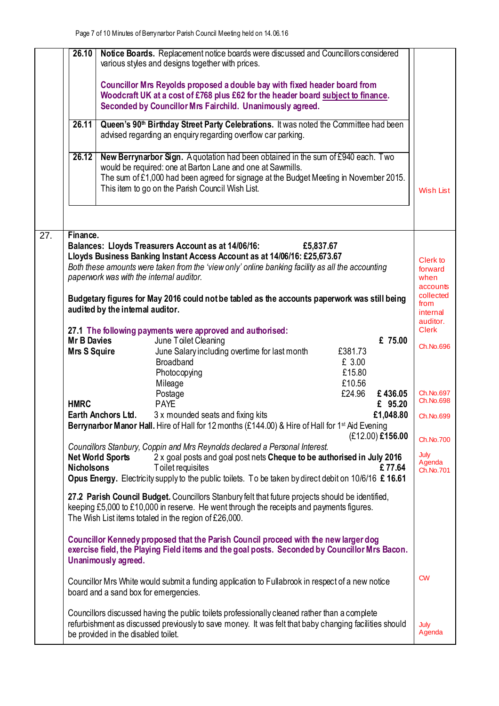|     | 26.10                                                                              | Notice Boards. Replacement notice boards were discussed and Councillors considered<br>various styles and designs together with prices.<br>Councillor Mrs Reyolds proposed a double bay with fixed header board from<br>Woodcraft UK at a cost of £768 plus £62 for the header board subject to finance.<br>Seconded by Councillor Mrs Fairchild. Unanimously agreed.                                                                                                                                                                                                                                                                                                                                                                                                                                                                                                                                                                                                                                                                                                                                                                                                                                                                                                                                                                                                                                                                                                                                                                                                                                                                                                                                                                                                                                                                                                                                                                                                                              |                                                                                                                                                                                                                   |
|-----|------------------------------------------------------------------------------------|---------------------------------------------------------------------------------------------------------------------------------------------------------------------------------------------------------------------------------------------------------------------------------------------------------------------------------------------------------------------------------------------------------------------------------------------------------------------------------------------------------------------------------------------------------------------------------------------------------------------------------------------------------------------------------------------------------------------------------------------------------------------------------------------------------------------------------------------------------------------------------------------------------------------------------------------------------------------------------------------------------------------------------------------------------------------------------------------------------------------------------------------------------------------------------------------------------------------------------------------------------------------------------------------------------------------------------------------------------------------------------------------------------------------------------------------------------------------------------------------------------------------------------------------------------------------------------------------------------------------------------------------------------------------------------------------------------------------------------------------------------------------------------------------------------------------------------------------------------------------------------------------------------------------------------------------------------------------------------------------------|-------------------------------------------------------------------------------------------------------------------------------------------------------------------------------------------------------------------|
|     | 26.11                                                                              | Queen's 90 <sup>th</sup> Birthday Street Party Celebrations. It was noted the Committee had been<br>advised regarding an enquiry regarding overflow car parking.                                                                                                                                                                                                                                                                                                                                                                                                                                                                                                                                                                                                                                                                                                                                                                                                                                                                                                                                                                                                                                                                                                                                                                                                                                                                                                                                                                                                                                                                                                                                                                                                                                                                                                                                                                                                                                  |                                                                                                                                                                                                                   |
|     | 26.12                                                                              | New Berrynarbor Sign. A quotation had been obtained in the sum of £940 each. Two<br>would be required: one at Barton Lane and one at Sawmills.<br>The sum of £1,000 had been agreed for signage at the Budget Meeting in November 2015.<br>This item to go on the Parish Council Wish List.                                                                                                                                                                                                                                                                                                                                                                                                                                                                                                                                                                                                                                                                                                                                                                                                                                                                                                                                                                                                                                                                                                                                                                                                                                                                                                                                                                                                                                                                                                                                                                                                                                                                                                       | Wish List                                                                                                                                                                                                         |
| 27. | Finance.<br><b>Mr B Davies</b><br>Mrs S Squire<br><b>HMRC</b><br><b>Nicholsons</b> | Balances: Lloyds Treasurers Account as at 14/06/16:<br>£5,837.67<br>Lloyds Business Banking Instant Access Account as at 14/06/16: £25,673.67<br>Both these amounts were taken from the 'view only' online banking facility as all the accounting<br>paperwork was with the internal auditor.<br>Budgetary figures for May 2016 could not be tabled as the accounts paperwork was still being<br>audited by the internal auditor.<br>27.1 The following payments were approved and authorised:<br>£ 75.00<br>June Toilet Cleaning<br>June Salary including overtime for last month<br>£381.73<br><b>Broadband</b><br>£ 3.00<br>£15.80<br>Photocopying<br>£10.56<br>Mileage<br>£24.96<br>Postage<br>£436.05<br><b>PAYE</b><br>£ 95.20<br>£1,048.80<br>Earth Anchors Ltd.<br>3 x mounded seats and fixing kits<br>Berrynarbor Manor Hall. Hire of Hall for 12 months (£144.00) & Hire of Hall for 1 <sup>st</sup> Aid Evening<br>(£12.00) £156.00<br>Councillors Stanbury, Coppin and Mrs Reynolds declared a Personal Interest.<br>2 x goal posts and goal post nets Cheque to be authorised in July 2016<br><b>Net World Sports</b><br>Toilet requisites<br>£77.64<br>Opus Energy. Electricity supply to the public toilets. To be taken by direct debit on 10/6/16 £ 16.61<br>27.2 Parish Council Budget. Councillors Stanbury felt that future projects should be identified,<br>keeping £5,000 to £10,000 in reserve. He went through the receipts and payments figures.<br>The Wish List items totaled in the region of £26,000.<br>Councillor Kennedy proposed that the Parish Council proceed with the new larger dog<br>exercise field, the Playing Field items and the goal posts. Seconded by Councillor Mrs Bacon.<br>Unanimously agreed.<br>Councillor Mrs White would submit a funding application to Fullabrook in respect of a new notice<br>board and a sand box for emergencies.<br>Councillors discussed having the public toilets professionally cleaned rather than a complete | Clerk to<br>forward<br>when<br>accounts<br>collected<br>from<br>internal<br>auditor.<br><b>Clerk</b><br>Ch.No.696<br>Ch.No.697<br>Ch.No.698<br>Ch.No.699<br>Ch.No.700<br>July<br>Agenda<br>Ch.No.701<br><b>CW</b> |
|     |                                                                                    | refurbishment as discussed previously to save money. It was felt that baby changing facilities should<br>be provided in the disabled toilet.                                                                                                                                                                                                                                                                                                                                                                                                                                                                                                                                                                                                                                                                                                                                                                                                                                                                                                                                                                                                                                                                                                                                                                                                                                                                                                                                                                                                                                                                                                                                                                                                                                                                                                                                                                                                                                                      | July<br>Agenda                                                                                                                                                                                                    |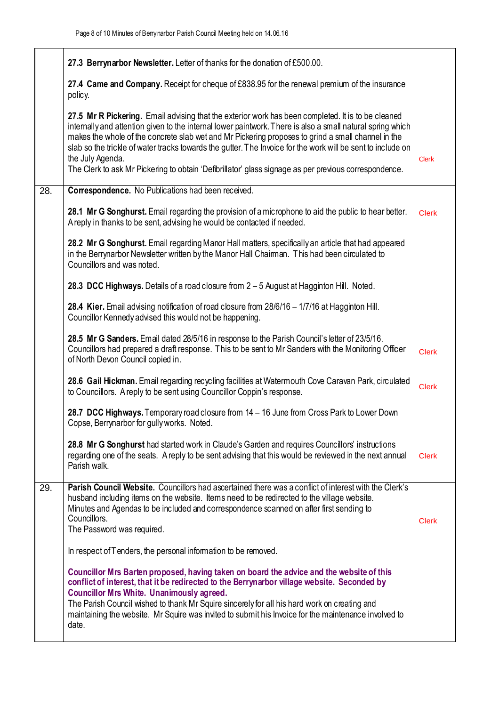|                   | 27.3 Berrynarbor Newsletter. Letter of thanks for the donation of £500.00.                                                                                                                                                                                                                                                                                                                                                                                                                                                                                         |              |
|-------------------|--------------------------------------------------------------------------------------------------------------------------------------------------------------------------------------------------------------------------------------------------------------------------------------------------------------------------------------------------------------------------------------------------------------------------------------------------------------------------------------------------------------------------------------------------------------------|--------------|
|                   | 27.4 Came and Company. Receipt for cheque of £838.95 for the renewal premium of the insurance<br>policy.                                                                                                                                                                                                                                                                                                                                                                                                                                                           |              |
|                   | 27.5 Mr R Pickering. Email advising that the exterior work has been completed. It is to be cleaned<br>internally and attention given to the internal lower paintwork. There is also a small natural spring which<br>makes the whole of the concrete slab wet and Mr Pickering proposes to grind a small channel in the<br>slab so the trickle of water tracks towards the gutter. The Invoice for the work will be sent to include on<br>the July Agenda.<br>The Clerk to ask Mr Pickering to obtain 'Defibrillator' glass signage as per previous correspondence. | <b>Clerk</b> |
| $\overline{28}$ . | Correspondence. No Publications had been received.                                                                                                                                                                                                                                                                                                                                                                                                                                                                                                                 |              |
|                   | 28.1 Mr G Songhurst. Email regarding the provision of a microphone to aid the public to hear better.<br>Areply in thanks to be sent, advising he would be contacted if needed.                                                                                                                                                                                                                                                                                                                                                                                     | <b>Clerk</b> |
|                   | 28.2 Mr G Songhurst. Email regarding Manor Hall matters, specifically an article that had appeared<br>in the Berrynarbor Newsletter written by the Manor Hall Chaiman. This had been circulated to<br>Councillors and was noted.                                                                                                                                                                                                                                                                                                                                   |              |
|                   | 28.3 DCC Highways. Details of a road closure from 2 - 5 August at Hagginton Hill. Noted.                                                                                                                                                                                                                                                                                                                                                                                                                                                                           |              |
|                   | 28.4 Kier. Email advising notification of road closure from 28/6/16 - 1/7/16 at Hagginton Hill.<br>Councillor Kennedy advised this would not be happening.                                                                                                                                                                                                                                                                                                                                                                                                         |              |
|                   | 28.5 Mr G Sanders. Email dated 28/5/16 in response to the Parish Council's letter of 23/5/16.<br>Councillors had prepared a draft response. This to be sent to Mr Sanders with the Monitoring Officer<br>of North Devon Council copied in.                                                                                                                                                                                                                                                                                                                         | <b>Clerk</b> |
|                   | 28.6 Gail Hickman. Email regarding recycling facilities at Watermouth Cove Caravan Park, circulated<br>to Councillors. A reply to be sent using Councillor Coppin's response.                                                                                                                                                                                                                                                                                                                                                                                      | <b>Clerk</b> |
|                   | 28.7 DCC Highways. Temporary road closure from 14 - 16 June from Cross Park to Lower Down<br>Copse, Berrynarbor for gully works. Noted                                                                                                                                                                                                                                                                                                                                                                                                                             |              |
|                   | 28.8 Mr G Songhurst had started work in Claude's Garden and requires Councillors' instructions<br>regarding one of the seats. A reply to be sent advising that this would be reviewed in the next annual<br>Parish walk.                                                                                                                                                                                                                                                                                                                                           | <b>Clerk</b> |
| 29.               | Parish Council Website. Councillors had ascertained there was a conflict of interest with the Clerk's<br>husband including items on the website. Items need to be redirected to the village website.<br>Minutes and Agendas to be included and correspondence scanned on after first sending to<br>Councillors.<br>The Password was required.                                                                                                                                                                                                                      | <b>Clerk</b> |
|                   | In respect of T enders, the personal information to be removed.                                                                                                                                                                                                                                                                                                                                                                                                                                                                                                    |              |
|                   | Councillor Mrs Barten proposed, having taken on board the advice and the website of this<br>conflict of interest, that it be redirected to the Berrynarbor village website. Seconded by<br><b>Councillor Mrs White. Unanimously agreed.</b><br>The Parish Council wished to thank Mr Squire sincerely for all his hard work on creating and<br>maintaining the website. Mr Squire was invited to submit his Invoice for the maintenance involved to<br>date.                                                                                                       |              |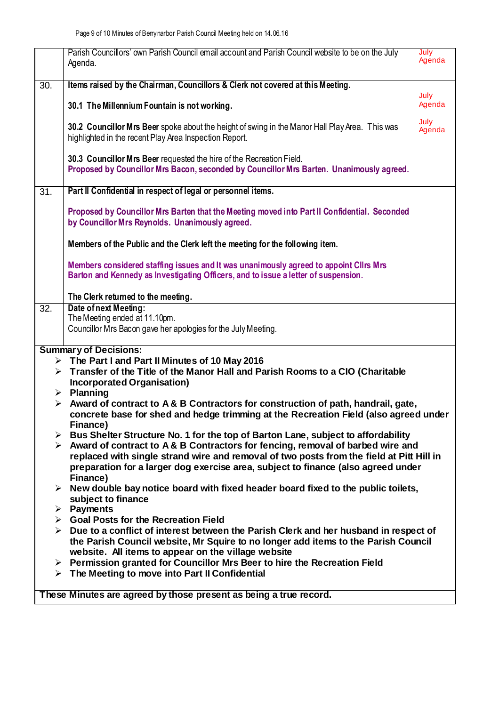|                   | Parish Councillors' own Parish Council email account and Parish Council website to be on the July<br>Agenda.                                                                                          | July<br>Agenda |
|-------------------|-------------------------------------------------------------------------------------------------------------------------------------------------------------------------------------------------------|----------------|
| $\overline{30}$ . | Items raised by the Chairman, Councillors & Clerk not covered at this Meeting.                                                                                                                        |                |
|                   | 30.1 The Millennium Fountain is not working.                                                                                                                                                          | July<br>Agenda |
|                   | 30.2 Councillor Mrs Beer spoke about the height of swing in the Manor Hall Play Area. This was<br>highlighted in the recent Play Area Inspection Report.                                              | July<br>Agenda |
|                   | 30.3 Councillor Mrs Beer requested the hire of the Recreation Field.<br>Proposed by Councillor Mrs Bacon, seconded by Councillor Mrs Barten. Unanimously agreed.                                      |                |
| $\overline{31}$ . | Part II Confidential in respect of legal or personnel items.                                                                                                                                          |                |
|                   | Proposed by Councillor Mrs Barten that the Meeting moved into Part II Confidential. Seconded<br>by Councillor Mrs Reynolds. Unanimously agreed.                                                       |                |
|                   | Members of the Public and the Clerk left the meeting for the following item.                                                                                                                          |                |
|                   | Members considered staffing issues and It was unanimously agreed to appoint Cllrs Mrs<br>Barton and Kennedy as Investigating Officers, and to issue a letter of suspension.                           |                |
|                   | The Clerk returned to the meeting.                                                                                                                                                                    |                |
| 32.               | Date of next Meeting:                                                                                                                                                                                 |                |
|                   | The Meeting ended at 11.10pm.                                                                                                                                                                         |                |
|                   | Councillor Mrs Bacon gave her apologies for the July Meeting.                                                                                                                                         |                |
|                   | <b>Summary of Decisions:</b>                                                                                                                                                                          |                |
|                   | $\triangleright$ The Part I and Part II Minutes of 10 May 2016                                                                                                                                        |                |
|                   | > Transfer of the Title of the Manor Hall and Parish Rooms to a CIO (Charitable                                                                                                                       |                |
|                   | <b>Incorporated Organisation)</b>                                                                                                                                                                     |                |
|                   | $\triangleright$ Planning                                                                                                                                                                             |                |
|                   | $\triangleright$ Award of contract to A & B Contractors for construction of path, handrail, gate,<br>concrete base for shed and hedge trimming at the Recreation Field (also agreed under<br>Finance) |                |
|                   | $\triangleright$ Bus Shelter Structure No. 1 for the top of Barton Lane, subject to affordability                                                                                                     |                |
|                   | $\triangleright$ Award of contract to A & B Contractors for fencing, removal of barbed wire and                                                                                                       |                |
|                   | replaced with single strand wire and removal of two posts from the field at Pitt Hill in                                                                                                              |                |
|                   | preparation for a larger dog exercise area, subject to finance (also agreed under                                                                                                                     |                |
|                   | Finance)                                                                                                                                                                                              |                |
|                   | $\triangleright$ New double bay notice board with fixed header board fixed to the public toilets,<br>subject to finance                                                                               |                |
|                   | $\triangleright$ Payments                                                                                                                                                                             |                |
|                   | $\triangleright$ Goal Posts for the Recreation Field                                                                                                                                                  |                |
|                   | Due to a conflict of interest between the Parish Clerk and her husband in respect of                                                                                                                  |                |
|                   | the Parish Council website, Mr Squire to no longer add items to the Parish Council                                                                                                                    |                |
|                   | website. All items to appear on the village website                                                                                                                                                   |                |
|                   | > Permission granted for Councillor Mrs Beer to hire the Recreation Field                                                                                                                             |                |
|                   | $\triangleright$ The Meeting to move into Part II Confidential                                                                                                                                        |                |
|                   | These Minutes are agreed by those present as being a true record.                                                                                                                                     |                |
|                   |                                                                                                                                                                                                       |                |